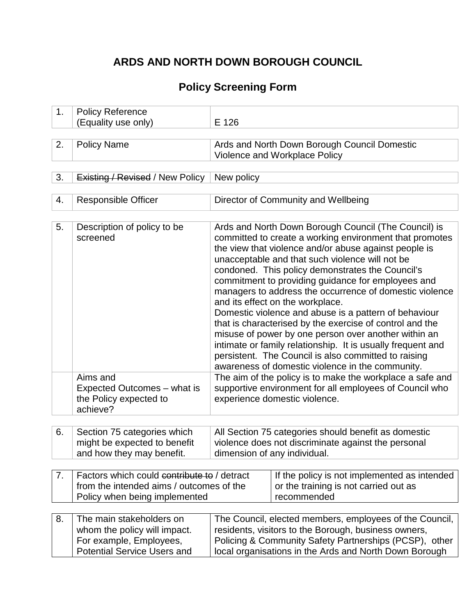# **ARDS AND NORTH DOWN BOROUGH COUNCIL**

# **Policy Screening Form**

| 1. | <b>Policy Reference</b><br>(Equality use only)                                                                            | E 126                                                                                                                                                                                                                                                                                                                                                                                                                                                                                                                                                                                                                                                                                                                                                                                        |                                     |  |
|----|---------------------------------------------------------------------------------------------------------------------------|----------------------------------------------------------------------------------------------------------------------------------------------------------------------------------------------------------------------------------------------------------------------------------------------------------------------------------------------------------------------------------------------------------------------------------------------------------------------------------------------------------------------------------------------------------------------------------------------------------------------------------------------------------------------------------------------------------------------------------------------------------------------------------------------|-------------------------------------|--|
|    |                                                                                                                           |                                                                                                                                                                                                                                                                                                                                                                                                                                                                                                                                                                                                                                                                                                                                                                                              |                                     |  |
| 2. | <b>Policy Name</b>                                                                                                        | Ards and North Down Borough Council Domestic<br>Violence and Workplace Policy                                                                                                                                                                                                                                                                                                                                                                                                                                                                                                                                                                                                                                                                                                                |                                     |  |
| 3. | <b>Existing / Revised / New Policy</b>                                                                                    | New policy                                                                                                                                                                                                                                                                                                                                                                                                                                                                                                                                                                                                                                                                                                                                                                                   |                                     |  |
|    |                                                                                                                           |                                                                                                                                                                                                                                                                                                                                                                                                                                                                                                                                                                                                                                                                                                                                                                                              |                                     |  |
| 4. | <b>Responsible Officer</b>                                                                                                |                                                                                                                                                                                                                                                                                                                                                                                                                                                                                                                                                                                                                                                                                                                                                                                              | Director of Community and Wellbeing |  |
| 5. | Description of policy to be<br>screened                                                                                   | Ards and North Down Borough Council (The Council) is<br>committed to create a working environment that promotes<br>the view that violence and/or abuse against people is<br>unacceptable and that such violence will not be<br>condoned. This policy demonstrates the Council's<br>commitment to providing guidance for employees and<br>managers to address the occurrence of domestic violence<br>and its effect on the workplace.<br>Domestic violence and abuse is a pattern of behaviour<br>that is characterised by the exercise of control and the<br>misuse of power by one person over another within an<br>intimate or family relationship. It is usually frequent and<br>persistent. The Council is also committed to raising<br>awareness of domestic violence in the community. |                                     |  |
|    | Aims and<br>Expected Outcomes - what is<br>the Policy expected to<br>achieve?                                             | The aim of the policy is to make the workplace a safe and<br>supportive environment for all employees of Council who<br>experience domestic violence.                                                                                                                                                                                                                                                                                                                                                                                                                                                                                                                                                                                                                                        |                                     |  |
|    |                                                                                                                           |                                                                                                                                                                                                                                                                                                                                                                                                                                                                                                                                                                                                                                                                                                                                                                                              |                                     |  |
| 6. | Section 75 categories which<br>might be expected to benefit<br>and how they may benefit.                                  | All Section 75 categories should benefit as domestic<br>violence does not discriminate against the personal<br>dimension of any individual.                                                                                                                                                                                                                                                                                                                                                                                                                                                                                                                                                                                                                                                  |                                     |  |
| 7. | Factors which could contribute to / detract<br>from the intended aims / outcomes of the<br>Policy when being implemented  | If the policy is not implemented as intended<br>or the training is not carried out as<br>recommended                                                                                                                                                                                                                                                                                                                                                                                                                                                                                                                                                                                                                                                                                         |                                     |  |
| 8. | The main stakeholders on<br>whom the policy will impact.<br>For example, Employees,<br><b>Potential Service Users and</b> | The Council, elected members, employees of the Council,<br>residents, visitors to the Borough, business owners,<br>Policing & Community Safety Partnerships (PCSP), other<br>local organisations in the Ards and North Down Borough                                                                                                                                                                                                                                                                                                                                                                                                                                                                                                                                                          |                                     |  |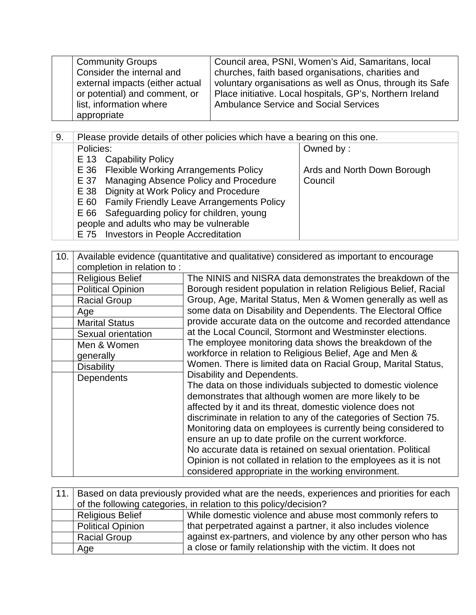| <b>Community Groups</b>         | Council area, PSNI, Women's Aid, Samaritans, local        |
|---------------------------------|-----------------------------------------------------------|
| Consider the internal and       | churches, faith based organisations, charities and        |
| external impacts (either actual | voluntary organisations as well as Onus, through its Safe |
| or potential) and comment, or   | Place initiative. Local hospitals, GP's, Northern Ireland |
| list, information where         | <b>Ambulance Service and Social Services</b>              |
| appropriate                     |                                                           |

9. Please provide details of other policies which have a bearing on this one.

| Policies:                                      | Owned by:                   |
|------------------------------------------------|-----------------------------|
| E 13 Capability Policy                         |                             |
| E 36 Flexible Working Arrangements Policy      | Ards and North Down Borough |
| E 37 Managing Absence Policy and Procedure     | Council                     |
| E 38 Dignity at Work Policy and Procedure      |                             |
| E 60 Family Friendly Leave Arrangements Policy |                             |
| E 66 Safeguarding policy for children, young   |                             |
| people and adults who may be vulnerable        |                             |
| E 75 Investors in People Accreditation         |                             |
|                                                |                             |

| 10. | Available evidence (quantitative and qualitative) considered as important to encourage |                                                                   |  |
|-----|----------------------------------------------------------------------------------------|-------------------------------------------------------------------|--|
|     | completion in relation to:                                                             |                                                                   |  |
|     | <b>Religious Belief</b>                                                                | The NINIS and NISRA data demonstrates the breakdown of the        |  |
|     | <b>Political Opinion</b>                                                               | Borough resident population in relation Religious Belief, Racial  |  |
|     | <b>Racial Group</b>                                                                    | Group, Age, Marital Status, Men & Women generally as well as      |  |
|     | Age                                                                                    | some data on Disability and Dependents. The Electoral Office      |  |
|     | <b>Marital Status</b>                                                                  | provide accurate data on the outcome and recorded attendance      |  |
|     | Sexual orientation                                                                     | at the Local Council, Stormont and Westminster elections.         |  |
|     | Men & Women                                                                            | The employee monitoring data shows the breakdown of the           |  |
|     | generally                                                                              | workforce in relation to Religious Belief, Age and Men &          |  |
|     | <b>Disability</b>                                                                      | Women. There is limited data on Racial Group, Marital Status,     |  |
|     | Dependents                                                                             | Disability and Dependents.                                        |  |
|     |                                                                                        | The data on those individuals subjected to domestic violence      |  |
|     |                                                                                        | demonstrates that although women are more likely to be            |  |
|     |                                                                                        | affected by it and its threat, domestic violence does not         |  |
|     |                                                                                        | discriminate in relation to any of the categories of Section 75.  |  |
|     |                                                                                        | Monitoring data on employees is currently being considered to     |  |
|     |                                                                                        | ensure an up to date profile on the current workforce.            |  |
|     |                                                                                        | No accurate data is retained on sexual orientation. Political     |  |
|     |                                                                                        | Opinion is not collated in relation to the employees as it is not |  |
|     |                                                                                        | considered appropriate in the working environment.                |  |

| 11.1 | Based on data previously provided what are the needs, experiences and priorities for each |                                                               |  |
|------|-------------------------------------------------------------------------------------------|---------------------------------------------------------------|--|
|      | of the following categories, in relation to this policy/decision?                         |                                                               |  |
|      | While domestic violence and abuse most commonly refers to<br><b>Religious Belief</b>      |                                                               |  |
|      | <b>Political Opinion</b>                                                                  | that perpetrated against a partner, it also includes violence |  |
|      | <b>Racial Group</b>                                                                       | against ex-partners, and violence by any other person who has |  |
|      | Age                                                                                       | a close or family relationship with the victim. It does not   |  |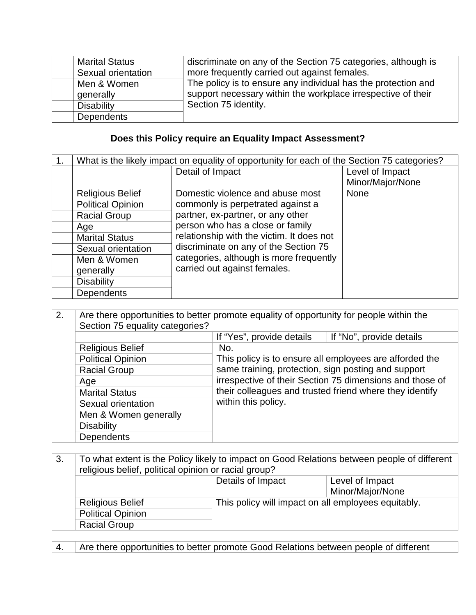| <b>Marital Status</b> | discriminate on any of the Section 75 categories, although is |
|-----------------------|---------------------------------------------------------------|
| Sexual orientation    | more frequently carried out against females.                  |
| Men & Women           | The policy is to ensure any individual has the protection and |
| generally             | support necessary within the workplace irrespective of their  |
| <b>Disability</b>     | Section 75 identity.                                          |
| Dependents            |                                                               |

### **Does this Policy require an Equality Impact Assessment?**

| What is the likely impact on equality of opportunity for each of the Section 75 categories? |                                           |                  |
|---------------------------------------------------------------------------------------------|-------------------------------------------|------------------|
|                                                                                             | Detail of Impact                          | Level of Impact  |
|                                                                                             |                                           | Minor/Major/None |
| <b>Religious Belief</b>                                                                     | Domestic violence and abuse most          | <b>None</b>      |
| <b>Political Opinion</b>                                                                    | commonly is perpetrated against a         |                  |
| <b>Racial Group</b>                                                                         | partner, ex-partner, or any other         |                  |
| Age                                                                                         | person who has a close or family          |                  |
| <b>Marital Status</b>                                                                       | relationship with the victim. It does not |                  |
| Sexual orientation                                                                          | discriminate on any of the Section 75     |                  |
| Men & Women                                                                                 | categories, although is more frequently   |                  |
| generally                                                                                   | carried out against females.              |                  |
| <b>Disability</b>                                                                           |                                           |                  |
| <b>Dependents</b>                                                                           |                                           |                  |

| 2. | Section 75 equality categories? | Are there opportunities to better promote equality of opportunity for people within the                                                                                                                                               |                          |  |
|----|---------------------------------|---------------------------------------------------------------------------------------------------------------------------------------------------------------------------------------------------------------------------------------|--------------------------|--|
|    |                                 | If "Yes", provide details                                                                                                                                                                                                             | If "No", provide details |  |
|    | <b>Religious Belief</b>         | No.                                                                                                                                                                                                                                   |                          |  |
|    | <b>Political Opinion</b>        | This policy is to ensure all employees are afforded the<br>same training, protection, sign posting and support<br>irrespective of their Section 75 dimensions and those of<br>their colleagues and trusted friend where they identify |                          |  |
|    | <b>Racial Group</b>             |                                                                                                                                                                                                                                       |                          |  |
|    | Age                             |                                                                                                                                                                                                                                       |                          |  |
|    | <b>Marital Status</b>           |                                                                                                                                                                                                                                       |                          |  |
|    | Sexual orientation              | within this policy.                                                                                                                                                                                                                   |                          |  |
|    | Men & Women generally           |                                                                                                                                                                                                                                       |                          |  |
|    | <b>Disability</b>               |                                                                                                                                                                                                                                       |                          |  |
|    | <b>Dependents</b>               |                                                                                                                                                                                                                                       |                          |  |

| 3. | To what extent is the Policy likely to impact on Good Relations between people of different<br>religious belief, political opinion or racial group? |                                                     |                  |
|----|-----------------------------------------------------------------------------------------------------------------------------------------------------|-----------------------------------------------------|------------------|
|    |                                                                                                                                                     | Details of Impact                                   | Level of Impact  |
|    |                                                                                                                                                     |                                                     | Minor/Major/None |
|    | <b>Religious Belief</b>                                                                                                                             | This policy will impact on all employees equitably. |                  |
|    | <b>Political Opinion</b>                                                                                                                            |                                                     |                  |
|    | <b>Racial Group</b>                                                                                                                                 |                                                     |                  |

4. Are there opportunities to better promote Good Relations between people of different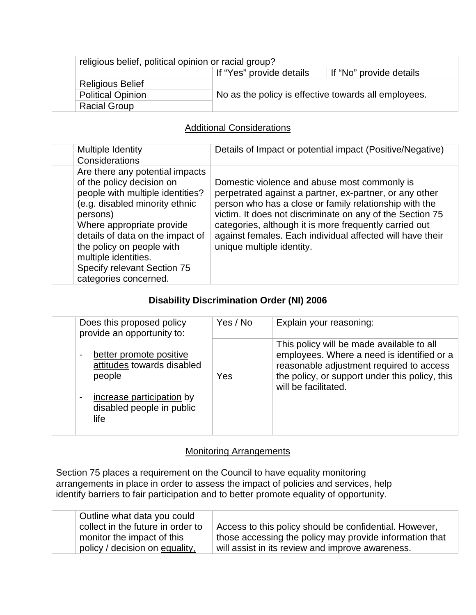|                          | religious belief, political opinion or racial group? |                         |  |
|--------------------------|------------------------------------------------------|-------------------------|--|
|                          | If "Yes" provide details                             | If "No" provide details |  |
| <b>Religious Belief</b>  |                                                      |                         |  |
| <b>Political Opinion</b> | No as the policy is effective towards all employees. |                         |  |
| <b>Racial Group</b>      |                                                      |                         |  |

#### Additional Considerations

| Multiple Identity<br>Considerations                                                                                                                                                                                                                                                                                          | Details of Impact or potential impact (Positive/Negative)                                                                                                                                                                                                                                                                                                                          |
|------------------------------------------------------------------------------------------------------------------------------------------------------------------------------------------------------------------------------------------------------------------------------------------------------------------------------|------------------------------------------------------------------------------------------------------------------------------------------------------------------------------------------------------------------------------------------------------------------------------------------------------------------------------------------------------------------------------------|
| Are there any potential impacts<br>of the policy decision on<br>people with multiple identities?<br>(e.g. disabled minority ethnic<br>persons)<br>Where appropriate provide<br>details of data on the impact of<br>the policy on people with<br>multiple identities.<br>Specify relevant Section 75<br>categories concerned. | Domestic violence and abuse most commonly is<br>perpetrated against a partner, ex-partner, or any other<br>person who has a close or family relationship with the<br>victim. It does not discriminate on any of the Section 75<br>categories, although it is more frequently carried out<br>against females. Each individual affected will have their<br>unique multiple identity. |

### **Disability Discrimination Order (NI) 2006**

| Does this proposed policy<br>provide an opportunity to:                                                                           | Yes / No | Explain your reasoning:                                                                                                                                                                                       |
|-----------------------------------------------------------------------------------------------------------------------------------|----------|---------------------------------------------------------------------------------------------------------------------------------------------------------------------------------------------------------------|
| better promote positive<br>attitudes towards disabled<br>people<br>increase participation by<br>disabled people in public<br>life | Yes      | This policy will be made available to all<br>employees. Where a need is identified or a<br>reasonable adjustment required to access<br>the policy, or support under this policy, this<br>will be facilitated. |

#### **Monitoring Arrangements**

Section 75 places a requirement on the Council to have equality monitoring arrangements in place in order to assess the impact of policies and services, help identify barriers to fair participation and to better promote equality of opportunity.

| Outline what data you could       |                                                         |
|-----------------------------------|---------------------------------------------------------|
| collect in the future in order to | Access to this policy should be confidential. However,  |
| monitor the impact of this        | those accessing the policy may provide information that |
| policy / decision on equality,    | will assist in its review and improve awareness.        |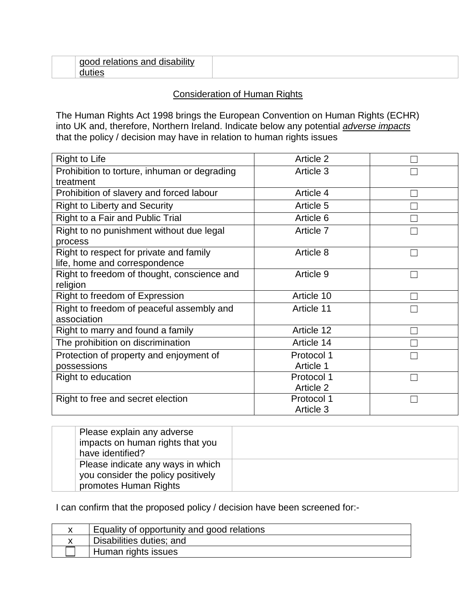#### Consideration of Human Rights

The Human Rights Act 1998 brings the European Convention on Human Rights (ECHR) into UK and, therefore, Northern Ireland. Indicate below any potential *adverse impacts* that the policy / decision may have in relation to human rights issues

| <b>Right to Life</b>                         | Article 2  |  |
|----------------------------------------------|------------|--|
| Prohibition to torture, inhuman or degrading | Article 3  |  |
| treatment                                    |            |  |
| Prohibition of slavery and forced labour     | Article 4  |  |
| <b>Right to Liberty and Security</b>         | Article 5  |  |
| Right to a Fair and Public Trial             | Article 6  |  |
| Right to no punishment without due legal     | Article 7  |  |
| process                                      |            |  |
| Right to respect for private and family      | Article 8  |  |
| life, home and correspondence                |            |  |
| Right to freedom of thought, conscience and  | Article 9  |  |
| religion                                     |            |  |
| Right to freedom of Expression               | Article 10 |  |
| Right to freedom of peaceful assembly and    | Article 11 |  |
| association                                  |            |  |
| Right to marry and found a family            | Article 12 |  |
| The prohibition on discrimination            | Article 14 |  |
| Protection of property and enjoyment of      | Protocol 1 |  |
| possessions                                  | Article 1  |  |
| Right to education                           | Protocol 1 |  |
|                                              | Article 2  |  |
| Right to free and secret election            | Protocol 1 |  |
|                                              | Article 3  |  |

| Please explain any adverse<br>impacts on human rights that you<br>have identified?               |  |
|--------------------------------------------------------------------------------------------------|--|
| Please indicate any ways in which<br>you consider the policy positively<br>promotes Human Rights |  |

I can confirm that the proposed policy / decision have been screened for:-

| Equality of opportunity and good relations |
|--------------------------------------------|
| Disabilities duties; and                   |
| Human rights issues                        |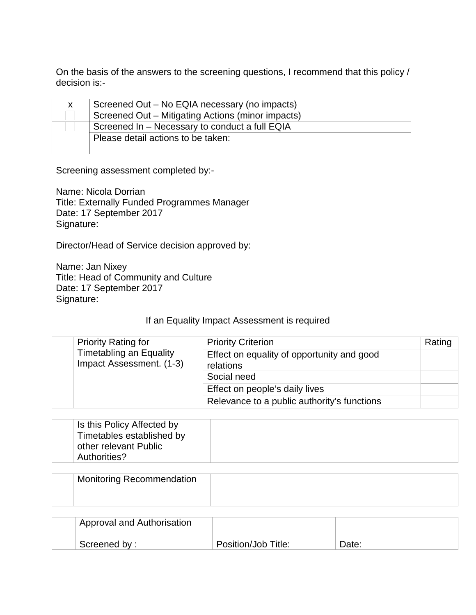On the basis of the answers to the screening questions, I recommend that this policy / decision is:-

| X. | Screened Out – No EQIA necessary (no impacts)     |
|----|---------------------------------------------------|
|    | Screened Out – Mitigating Actions (minor impacts) |
|    | Screened In - Necessary to conduct a full EQIA    |
|    | Please detail actions to be taken:                |
|    |                                                   |

Screening assessment completed by:-

Name: Nicola Dorrian Title: Externally Funded Programmes Manager Date: 17 September 2017 Signature:

Director/Head of Service decision approved by:

Name: Jan Nixey Title: Head of Community and Culture Date: 17 September 2017 Signature:

#### If an Equality Impact Assessment is required

| <b>Priority Rating for</b><br><b>Timetabling an Equality</b><br>Impact Assessment. (1-3) |                                                         | <b>Priority Criterion</b>                   | Rating |
|------------------------------------------------------------------------------------------|---------------------------------------------------------|---------------------------------------------|--------|
|                                                                                          | Effect on equality of opportunity and good<br>relations |                                             |        |
|                                                                                          |                                                         | Social need                                 |        |
|                                                                                          |                                                         | Effect on people's daily lives              |        |
|                                                                                          |                                                         | Relevance to a public authority's functions |        |

| Is this Policy Affected by<br>Timetables established by<br>other relevant Public<br>Authorities? |  |
|--------------------------------------------------------------------------------------------------|--|
|                                                                                                  |  |

| Monitoring Recommendation |  |
|---------------------------|--|
|                           |  |

| Approval and Authorisation |                     |       |
|----------------------------|---------------------|-------|
| Screened by:               | Position/Job Title: | Date: |